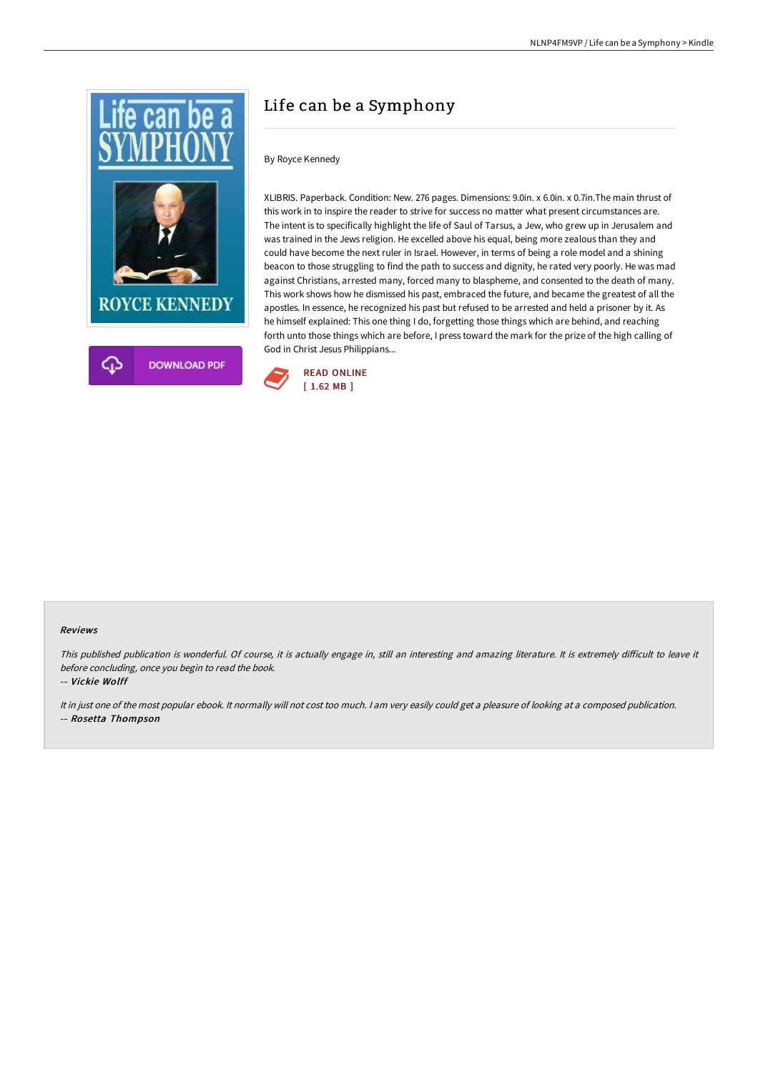

# Life can be a Symphony

### By Royce Kennedy

XLIBRIS. Paperback. Condition: New. 276 pages. Dimensions: 9.0in. x 6.0in. x 0.7in.The main thrust of this work in to inspire the reader to strive for success no matter what present circumstances are. The intent is to specifically highlight the life of Saul of Tarsus, a Jew, who grew up in Jerusalem and was trained in the Jews religion. He excelled above his equal, being more zealous than they and could have become the next ruler in Israel. However, in terms of being a role model and a shining beacon to those struggling to find the path to success and dignity, he rated very poorly. He was mad against Christians, arrested many, forced many to blaspheme, and consented to the death of many. This work shows how he dismissed his past, embraced the future, and became the greatest of all the apostles. In essence, he recognized his past but refused to be arrested and held a prisoner by it. As he himself explained: This one thing I do, forgetting those things which are behind, and reaching forth unto those things which are before, I press toward the mark for the prize of the high calling of God in Christ Jesus Philippians...



#### Reviews

This published publication is wonderful. Of course, it is actually engage in, still an interesting and amazing literature. It is extremely difficult to leave it before concluding, once you begin to read the book.

-- Vickie Wolff

It in just one of the most popular ebook. It normally will not cost too much. <sup>I</sup> am very easily could get <sup>a</sup> pleasure of looking at <sup>a</sup> composed publication. -- Rosetta Thompson